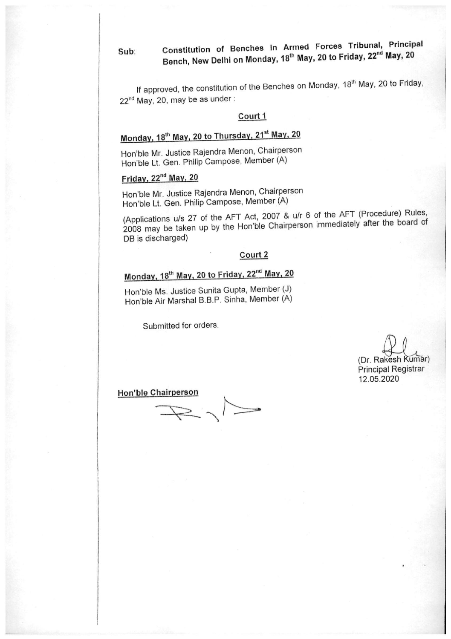#### Constitution of Benches in Armed Forces Tribunal, Principal  $Sub:$ Bench, New Delhi on Monday, 18<sup>th</sup> May, 20 to Friday, 22<sup>nd</sup> May, 20

If approved, the constitution of the Benches on Monday, 18<sup>th</sup> May, 20 to Friday, 22<sup>nd</sup> May, 20, may be as under:

#### Court 1

# Monday, 18<sup>th</sup> May, 20 to Thursday, 21<sup>st</sup> May, 20

Hon'ble Mr. Justice Rajendra Menon, Chairperson Hon'ble Lt. Gen. Philip Campose, Member (A)

## Friday, 22<sup>nd</sup> May, 20

Hon'ble Mr. Justice Rajendra Menon, Chairperson Hon'ble Lt. Gen. Philip Campose, Member (A)

(Applications u/s 27 of the AFT Act, 2007 & u/r 6 of the AFT (Procedure) Rules, 2008 may be taken up by the Hon'ble Chairperson immediately after the board of DB is discharged)

#### Court 2

# Monday, 18<sup>th</sup> May, 20 to Friday, 22<sup>nd</sup> May, 20

Hon'ble Ms. Justice Sunita Gupta, Member (J) Hon'ble Air Marshal B.B.P. Sinha, Member (A)

Submitted for orders.

(Dr. Rakesh Kumar) **Principal Registrar** 12.05.2020

**Hon'ble Chairperson**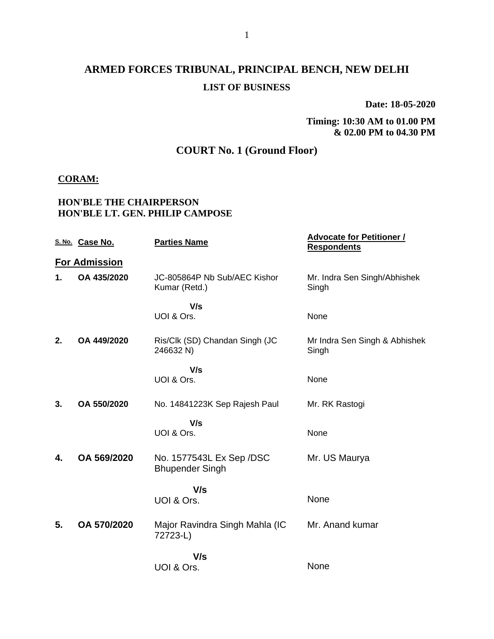**Date: 18-05-2020**

**Timing: 10:30 AM to 01.00 PM & 02.00 PM to 04.30 PM**

### **COURT No. 1 (Ground Floor)**

#### **CORAM:**

#### **HON'BLE THE CHAIRPERSON HON'BLE LT. GEN. PHILIP CAMPOSE**

|    | S. No. Case No.      | <b>Parties Name</b>                                | <b>Advocate for Petitioner /</b><br><b>Respondents</b> |
|----|----------------------|----------------------------------------------------|--------------------------------------------------------|
|    | <b>For Admission</b> |                                                    |                                                        |
| 1. | OA 435/2020          | JC-805864P Nb Sub/AEC Kishor<br>Kumar (Retd.)      | Mr. Indra Sen Singh/Abhishek<br>Singh                  |
|    |                      | V/s                                                |                                                        |
|    |                      | UOI & Ors.                                         | None                                                   |
| 2. | OA 449/2020          | Ris/Clk (SD) Chandan Singh (JC<br>246632 N)        | Mr Indra Sen Singh & Abhishek<br>Singh                 |
|    |                      | V/s                                                |                                                        |
|    |                      | UOI & Ors.                                         | None                                                   |
| 3. | OA 550/2020          | No. 14841223K Sep Rajesh Paul                      | Mr. RK Rastogi                                         |
|    |                      | V/s<br>UOI & Ors.                                  |                                                        |
|    |                      |                                                    | None                                                   |
| 4. | OA 569/2020          | No. 1577543L Ex Sep /DSC<br><b>Bhupender Singh</b> | Mr. US Maurya                                          |
|    |                      | V/s                                                |                                                        |
|    |                      | UOI & Ors.                                         | None                                                   |
| 5. | OA 570/2020          | Major Ravindra Singh Mahla (IC<br>72723-L)         | Mr. Anand kumar                                        |
|    |                      | V/s                                                |                                                        |
|    |                      | UOI & Ors.                                         | None                                                   |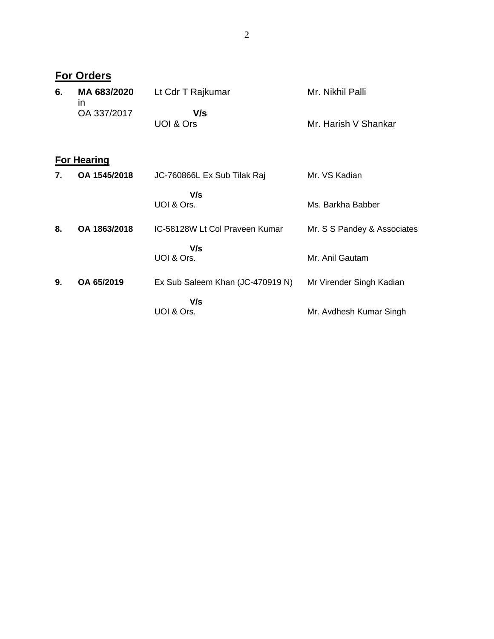|    | <b>For Orders</b>            |                                  |                             |
|----|------------------------------|----------------------------------|-----------------------------|
| 6. | MA 683/2020<br>$\mathsf{In}$ | Lt Cdr T Rajkumar                | Mr. Nikhil Palli            |
|    | OA 337/2017                  | V/s                              |                             |
|    |                              | UOI & Ors                        | Mr. Harish V Shankar        |
|    | <b>For Hearing</b>           |                                  |                             |
| 7. | OA 1545/2018                 | JC-760866L Ex Sub Tilak Raj      | Mr. VS Kadian               |
|    |                              | V/s                              |                             |
|    |                              | UOI & Ors.                       | Ms. Barkha Babber           |
| 8. | OA 1863/2018                 | IC-58128W Lt Col Praveen Kumar   | Mr. S S Pandey & Associates |
|    |                              | V/s                              |                             |
|    |                              | UOI & Ors.                       | Mr. Anil Gautam             |
| 9. | OA 65/2019                   | Ex Sub Saleem Khan (JC-470919 N) | Mr Virender Singh Kadian    |
|    |                              | V/s                              |                             |
|    |                              | UOI & Ors.                       | Mr. Avdhesh Kumar Singh     |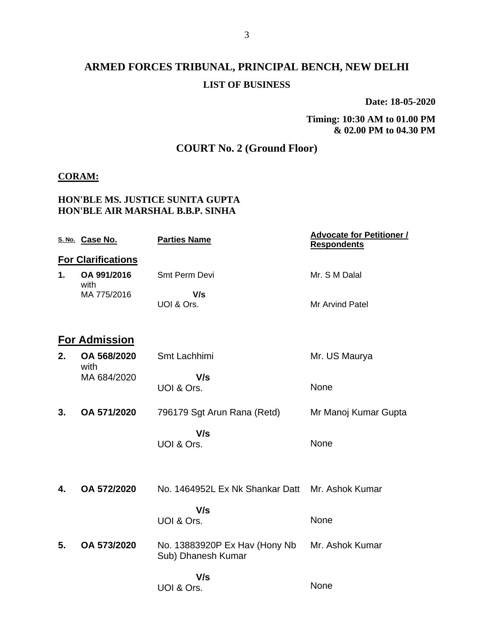## **ARMED FORCES TRIBUNAL, PRINCIPAL BENCH, NEW DELHI LIST OF BUSINESS**

**Date: 18-05-2020**

**Timing: 10:30 AM to 01.00 PM & 02.00 PM to 04.30 PM**

### **COURT No. 2 (Ground Floor)**

#### **CORAM:**

#### **HON'BLE MS. JUSTICE SUNITA GUPTA HON'BLE AIR MARSHAL B.B.P. SINHA**

|    | S. No. Case No.           | <b>Parties Name</b>                                 | <b>Advocate for Petitioner /</b><br><b>Respondents</b> |
|----|---------------------------|-----------------------------------------------------|--------------------------------------------------------|
|    | <b>For Clarifications</b> |                                                     |                                                        |
| 1. | OA 991/2016               | Smt Perm Devi                                       | Mr. S M Dalal                                          |
|    | with<br>MA 775/2016       | V/s<br>UOI & Ors.                                   | Mr Arvind Patel                                        |
|    | <b>For Admission</b>      |                                                     |                                                        |
| 2. | OA 568/2020<br>with       | Smt Lachhimi                                        | Mr. US Maurya                                          |
|    | MA 684/2020               | V/s<br>UOI & Ors.                                   | None                                                   |
| 3. | OA 571/2020               | 796179 Sgt Arun Rana (Retd)                         | Mr Manoj Kumar Gupta                                   |
|    |                           | V/s<br>UOI & Ors.                                   | None                                                   |
| 4. | OA 572/2020               | No. 1464952L Ex Nk Shankar Datt                     | Mr. Ashok Kumar                                        |
|    |                           | V/s<br>UOI & Ors.                                   | None                                                   |
| 5. | OA 573/2020               | No. 13883920P Ex Hav (Hony Nb<br>Sub) Dhanesh Kumar | Mr. Ashok Kumar                                        |
|    |                           | V/s<br>UOI & Ors.                                   | None                                                   |
|    |                           |                                                     |                                                        |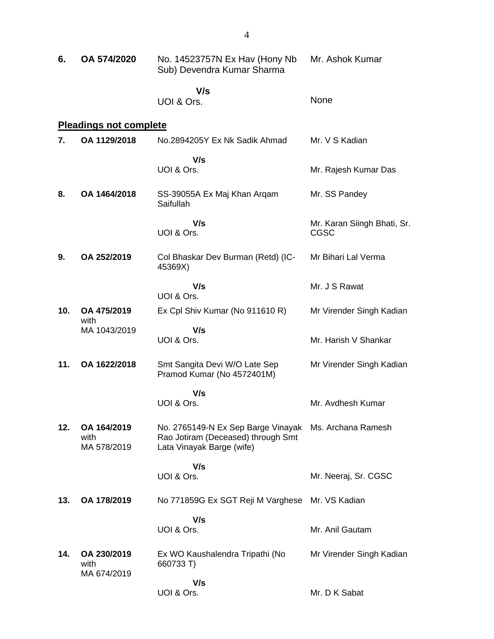| 6.  | OA 574/2020                        | No. 14523757N Ex Hav (Hony Nb<br>Sub) Devendra Kumar Sharma                                                              | Mr. Ashok Kumar             |
|-----|------------------------------------|--------------------------------------------------------------------------------------------------------------------------|-----------------------------|
|     |                                    | V/s<br>UOI & Ors.                                                                                                        | None                        |
|     | <b>Pleadings not complete</b>      |                                                                                                                          |                             |
| 7.  | OA 1129/2018                       | No.2894205Y Ex Nk Sadik Ahmad                                                                                            | Mr. V S Kadian              |
|     |                                    | V/s                                                                                                                      |                             |
|     |                                    | UOI & Ors.                                                                                                               | Mr. Rajesh Kumar Das        |
| 8.  | OA 1464/2018                       | SS-39055A Ex Maj Khan Arqam<br>Saifullah                                                                                 | Mr. SS Pandey               |
|     |                                    | V/s                                                                                                                      | Mr. Karan Siingh Bhati, Sr. |
|     |                                    | UOI & Ors.                                                                                                               | <b>CGSC</b>                 |
| 9.  | OA 252/2019                        | Col Bhaskar Dev Burman (Retd) (IC-<br>45369X)                                                                            | Mr Bihari Lal Verma         |
|     |                                    | V/s                                                                                                                      | Mr. J S Rawat               |
|     |                                    | UOI & Ors.                                                                                                               |                             |
| 10. | OA 475/2019<br>with                | Ex Cpl Shiv Kumar (No 911610 R)                                                                                          | Mr Virender Singh Kadian    |
|     | MA 1043/2019                       | V/s<br>UOI & Ors.                                                                                                        | Mr. Harish V Shankar        |
| 11. | OA 1622/2018                       | Smt Sangita Devi W/O Late Sep<br>Pramod Kumar (No 4572401M)                                                              | Mr Virender Singh Kadian    |
|     |                                    | V/s                                                                                                                      |                             |
|     |                                    | UOI & Ors.                                                                                                               | Mr. Avdhesh Kumar           |
| 12. | OA 164/2019<br>with<br>MA 578/2019 | No. 2765149-N Ex Sep Barge Vinayak Ms. Archana Ramesh<br>Rao Jotiram (Deceased) through Smt<br>Lata Vinayak Barge (wife) |                             |
|     |                                    | V/s                                                                                                                      |                             |
|     |                                    | UOI & Ors.                                                                                                               | Mr. Neeraj, Sr. CGSC        |
| 13. | OA 178/2019                        | No 771859G Ex SGT Reji M Varghese                                                                                        | Mr. VS Kadian               |
|     |                                    | V/s<br>UOI & Ors.                                                                                                        | Mr. Anil Gautam             |
|     |                                    |                                                                                                                          |                             |
| 14. | OA 230/2019<br>with<br>MA 674/2019 | Ex WO Kaushalendra Tripathi (No<br>660733 T)                                                                             | Mr Virender Singh Kadian    |
|     |                                    | V/s<br>UOI & Ors.                                                                                                        | Mr. D K Sabat               |
|     |                                    |                                                                                                                          |                             |